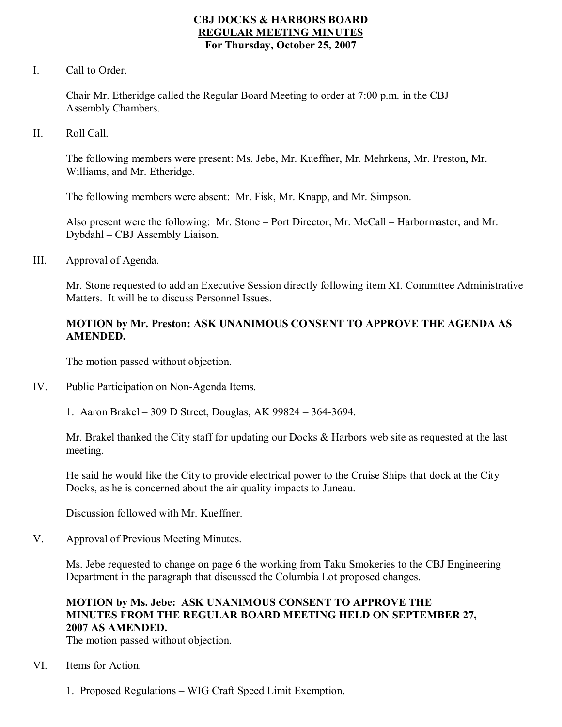## **CBJ DOCKS & HARBORS BOARD REGULAR MEETING MINUTES For Thursday, October 25, 2007**

I. Call to Order.

Chair Mr. Etheridge called the Regular Board Meeting to order at 7:00 p.m. in the CBJ Assembly Chambers.

II. Roll Call.

The following members were present: Ms. Jebe, Mr. Kueffner, Mr. Mehrkens, Mr. Preston, Mr. Williams, and Mr. Etheridge.

The following members were absent: Mr. Fisk, Mr. Knapp, and Mr. Simpson.

Also present were the following: Mr. Stone – Port Director, Mr. McCall – Harbormaster, and Mr. Dybdahl – CBJ Assembly Liaison.

III. Approval of Agenda.

Mr. Stone requested to add an Executive Session directly following item XI. Committee Administrative Matters. It will be to discuss Personnel Issues.

## **MOTION by Mr. Preston: ASK UNANIMOUS CONSENT TO APPROVE THE AGENDA AS AMENDED.**

The motion passed without objection.

- IV. Public Participation on Non-Agenda Items.
	- 1. Aaron Brakel 309 D Street, Douglas, AK 99824 3643694.

Mr. Brakel thanked the City staff for updating our Docks & Harbors web site as requested at the last meeting.

He said he would like the City to provide electrical power to the Cruise Ships that dock at the City Docks, as he is concerned about the air quality impacts to Juneau.

Discussion followed with Mr. Kueffner.

V. Approval of Previous Meeting Minutes.

Ms. Jebe requested to change on page 6 the working from Taku Smokeries to the CBJ Engineering Department in the paragraph that discussed the Columbia Lot proposed changes.

## **MOTION by Ms. Jebe: ASK UNANIMOUS CONSENT TO APPROVE THE MINUTES FROM THE REGULAR BOARD MEETING HELD ON SEPTEMBER 27, 2007 AS AMENDED.**

The motion passed without objection.

- VI. Items for Action.
	- 1. Proposed Regulations WIG Craft Speed Limit Exemption.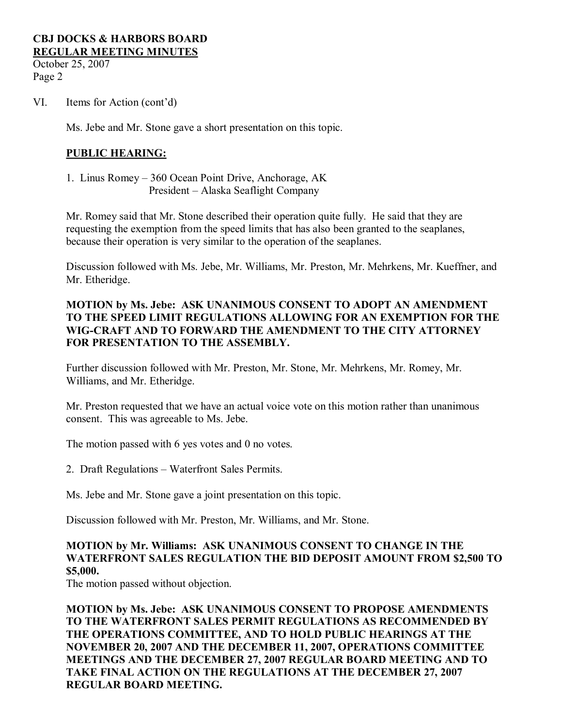October 25, 2007 Page 2

VI. Items for Action (cont'd)

Ms. Jebe and Mr. Stone gave a short presentation on this topic.

## **PUBLIC HEARING:**

1. Linus Romey – 360 Ocean Point Drive, Anchorage, AK President – Alaska Seaflight Company

Mr. Romey said that Mr. Stone described their operation quite fully. He said that they are requesting the exemption from the speed limits that has also been granted to the seaplanes, because their operation is very similar to the operation of the seaplanes.

Discussion followed with Ms. Jebe, Mr. Williams, Mr. Preston, Mr. Mehrkens, Mr. Kueffner, and Mr. Etheridge.

## **MOTION by Ms. Jebe: ASK UNANIMOUS CONSENT TO ADOPT AN AMENDMENT TO THE SPEED LIMIT REGULATIONS ALLOWING FOR AN EXEMPTION FOR THE WIGCRAFT AND TO FORWARD THE AMENDMENT TO THE CITY ATTORNEY FOR PRESENTATION TO THE ASSEMBLY.**

Further discussion followed with Mr. Preston, Mr. Stone, Mr. Mehrkens, Mr. Romey, Mr. Williams, and Mr. Etheridge.

Mr. Preston requested that we have an actual voice vote on this motion rather than unanimous consent. This was agreeable to Ms. Jebe.

The motion passed with 6 yes votes and 0 no votes.

2. Draft Regulations – Waterfront Sales Permits.

Ms. Jebe and Mr. Stone gave a joint presentation on this topic.

Discussion followed with Mr. Preston, Mr. Williams, and Mr. Stone.

## **MOTION by Mr. Williams: ASK UNANIMOUS CONSENT TO CHANGE IN THE WATERFRONT SALES REGULATION THE BID DEPOSIT AMOUNT FROM \$2,500 TO \$5,000.**

The motion passed without objection.

**MOTION by Ms. Jebe: ASK UNANIMOUS CONSENT TO PROPOSE AMENDMENTS TO THE WATERFRONT SALES PERMIT REGULATIONS AS RECOMMENDED BY THE OPERATIONS COMMITTEE, AND TO HOLD PUBLIC HEARINGS AT THE NOVEMBER 20, 2007 AND THE DECEMBER 11,2007, OPERATIONS COMMITTEE MEETINGS AND THE DECEMBER 27, 2007 REGULAR BOARD MEETING AND TO TAKE FINAL ACTION ON THE REGULATIONS AT THE DECEMBER 27, 2007 REGULAR BOARD MEETING.**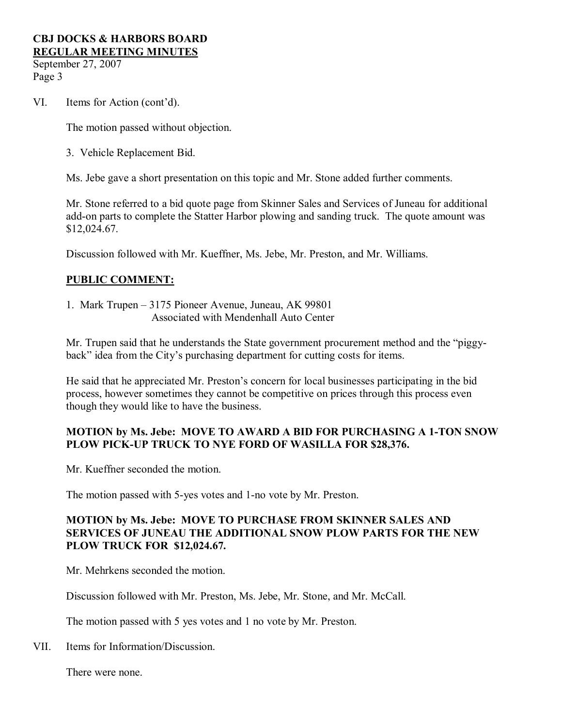September 27, 2007 Page 3

VI. Items for Action (cont'd).

The motion passed without objection.

3. Vehicle Replacement Bid.

Ms. Jebe gave a short presentation on this topic and Mr. Stone added further comments.

Mr. Stone referred to a bid quote page from Skinner Sales and Services of Juneau for additional add-on parts to complete the Statter Harbor plowing and sanding truck. The quote amount was \$12,024.67.

Discussion followed with Mr. Kueffner, Ms. Jebe, Mr. Preston, and Mr. Williams.

# **PUBLIC COMMENT:**

1. Mark Trupen – 3175 Pioneer Avenue, Juneau, AK 99801 Associated with Mendenhall Auto Center

Mr. Trupen said that he understands the State government procurement method and the "piggy back" idea from the City's purchasing department for cutting costs for items.

He said that he appreciated Mr. Preston's concern for local businesses participating in the bid process, however sometimes they cannot be competitive on prices through this process even though they would like to have the business.

## **MOTION by Ms. Jebe: MOVE TO AWARD A BID FOR PURCHASING A 1TON SNOW PLOW PICK-UP TRUCK TO NYE FORD OF WASILLA FOR \$28,376.**

Mr. Kueffner seconded the motion.

The motion passed with 5-yes votes and 1-no vote by Mr. Preston.

## **MOTION by Ms. Jebe: MOVE TO PURCHASE FROM SKINNER SALES AND SERVICES OF JUNEAU THE ADDITIONAL SNOW PLOW PARTS FOR THE NEW PLOW TRUCK FOR \$12,024.67.**

Mr. Mehrkens seconded the motion.

Discussion followed with Mr. Preston, Ms. Jebe, Mr. Stone, and Mr. McCall.

The motion passed with 5 yes votes and 1 no vote by Mr. Preston.

VII. Items for Information/Discussion.

There were none.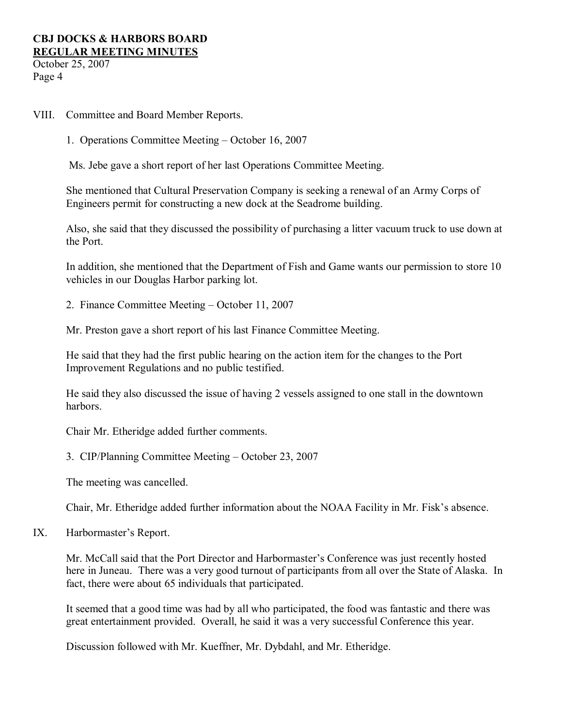October 25, 2007 Page 4

VIII. Committee and Board Member Reports.

1. Operations Committee Meeting – October 16, 2007

Ms. Jebe gave a short report of her last Operations Committee Meeting.

She mentioned that Cultural Preservation Company is seeking a renewal of an Army Corps of Engineers permit for constructing a new dock at the Seadrome building.

Also, she said that they discussed the possibility of purchasing a litter vacuum truck to use down at the Port.

In addition, she mentioned that the Department of Fish and Game wants our permission to store 10 vehicles in our Douglas Harbor parking lot.

2. Finance Committee Meeting – October 11, 2007

Mr. Preston gave a short report of his last Finance Committee Meeting.

He said that they had the first public hearing on the action item for the changes to the Port Improvement Regulations and no public testified.

He said they also discussed the issue of having 2 vessels assigned to one stall in the downtown harbors.

Chair Mr. Etheridge added further comments.

3. CIP/Planning Committee Meeting – October 23, 2007

The meeting was cancelled.

Chair, Mr. Etheridge added further information about the NOAA Facility in Mr. Fisk's absence.

IX. Harbormaster's Report.

Mr. McCall said that the Port Director and Harbormaster's Conference was just recently hosted here in Juneau. There was a very good turnout of participants from all over the State of Alaska. In fact, there were about 65 individuals that participated.

It seemed that a good time was had by all who participated, the food was fantastic and there was great entertainment provided. Overall, he said it was a very successful Conference this year.

Discussion followed with Mr. Kueffner, Mr. Dybdahl, and Mr. Etheridge.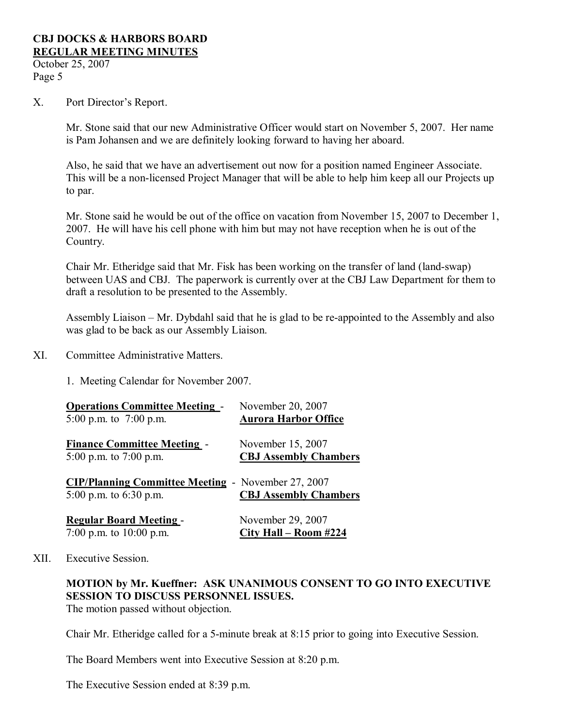October 25, 2007 Page 5

X. Port Director's Report.

Mr. Stone said that our new Administrative Officer would start on November 5, 2007. Her name is Pam Johansen and we are definitely looking forward to having her aboard.

Also, he said that we have an advertisement out now for a position named Engineer Associate. This will be a non-licensed Project Manager that will be able to help him keep all our Projects up to par.

Mr. Stone said he would be out of the office on vacation from November 15, 2007 to December 1, 2007. He will have his cell phone with him but may not have reception when he is out of the Country.

Chair Mr. Etheridge said that Mr. Fisk has been working on the transfer of land (land-swap) between UAS and CBJ. The paperwork is currently over at the CBJ Law Department for them to draft a resolution to be presented to the Assembly.

Assembly Liaison – Mr. Dybdahl said that he is glad to be re-appointed to the Assembly and also was glad to be back as our Assembly Liaison.

XI. Committee Administrative Matters.

1. Meeting Calendar for November 2007.

| <b>Operations Committee Meeting -</b>                                                 | November 20, 2007            |
|---------------------------------------------------------------------------------------|------------------------------|
| 5:00 p.m. to $7:00$ p.m.                                                              | <b>Aurora Harbor Office</b>  |
| <b>Finance Committee Meeting -</b>                                                    | November 15, 2007            |
| 5:00 p.m. to 7:00 p.m.                                                                | <b>CBJ Assembly Chambers</b> |
| <b>CIP/Planning Committee Meeting - November 27, 2007</b><br>5:00 p.m. to $6:30$ p.m. | <b>CBJ Assembly Chambers</b> |
| <b>Regular Board Meeting -</b>                                                        | November 29, 2007            |
| 7:00 p.m. to $10:00$ p.m.                                                             | City Hall - Room #224        |

#### XII. Executive Session.

# **MOTION by Mr. Kueffner: ASK UNANIMOUS CONSENT TO GO INTO EXECUTIVE SESSION TO DISCUSS PERSONNEL ISSUES.**

The motion passed without objection.

Chair Mr. Etheridge called for a 5-minute break at 8:15 prior to going into Executive Session.

The Board Members went into Executive Session at 8:20 p.m.

The Executive Session ended at 8:39 p.m.